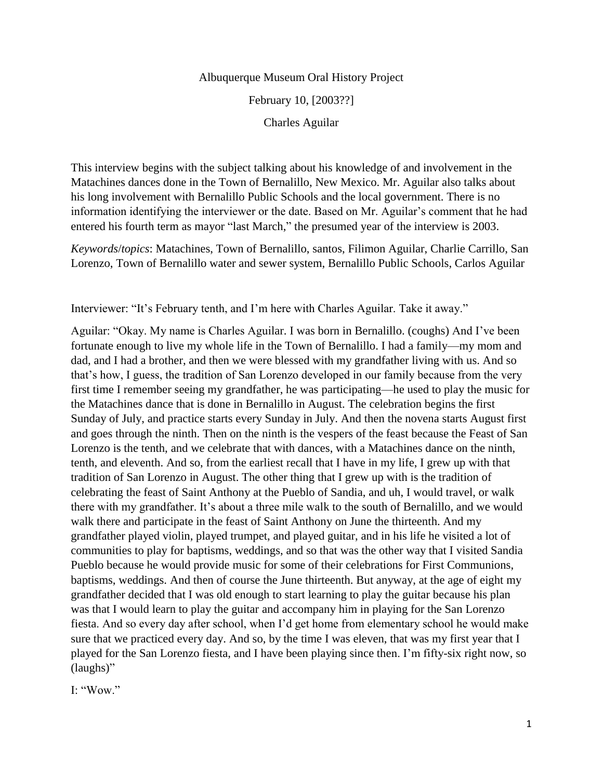#### Albuquerque Museum Oral History Project

February 10, [2003??]

Charles Aguilar

This interview begins with the subject talking about his knowledge of and involvement in the Matachines dances done in the Town of Bernalillo, New Mexico. Mr. Aguilar also talks about his long involvement with Bernalillo Public Schools and the local government. There is no information identifying the interviewer or the date. Based on Mr. Aguilar's comment that he had entered his fourth term as mayor "last March," the presumed year of the interview is 2003.

*Keywords*/*topics*: Matachines, Town of Bernalillo, santos, Filimon Aguilar, Charlie Carrillo, San Lorenzo, Town of Bernalillo water and sewer system, Bernalillo Public Schools, Carlos Aguilar

Interviewer: "It's February tenth, and I'm here with Charles Aguilar. Take it away."

Aguilar: "Okay. My name is Charles Aguilar. I was born in Bernalillo. (coughs) And I've been fortunate enough to live my whole life in the Town of Bernalillo. I had a family—my mom and dad, and I had a brother, and then we were blessed with my grandfather living with us. And so that's how, I guess, the tradition of San Lorenzo developed in our family because from the very first time I remember seeing my grandfather, he was participating—he used to play the music for the Matachines dance that is done in Bernalillo in August. The celebration begins the first Sunday of July, and practice starts every Sunday in July. And then the novena starts August first and goes through the ninth. Then on the ninth is the vespers of the feast because the Feast of San Lorenzo is the tenth, and we celebrate that with dances, with a Matachines dance on the ninth, tenth, and eleventh. And so, from the earliest recall that I have in my life, I grew up with that tradition of San Lorenzo in August. The other thing that I grew up with is the tradition of celebrating the feast of Saint Anthony at the Pueblo of Sandia, and uh, I would travel, or walk there with my grandfather. It's about a three mile walk to the south of Bernalillo, and we would walk there and participate in the feast of Saint Anthony on June the thirteenth. And my grandfather played violin, played trumpet, and played guitar, and in his life he visited a lot of communities to play for baptisms, weddings, and so that was the other way that I visited Sandia Pueblo because he would provide music for some of their celebrations for First Communions, baptisms, weddings. And then of course the June thirteenth. But anyway, at the age of eight my grandfather decided that I was old enough to start learning to play the guitar because his plan was that I would learn to play the guitar and accompany him in playing for the San Lorenzo fiesta. And so every day after school, when I'd get home from elementary school he would make sure that we practiced every day. And so, by the time I was eleven, that was my first year that I played for the San Lorenzo fiesta, and I have been playing since then. I'm fifty-six right now, so (laughs)"

I: "Wow."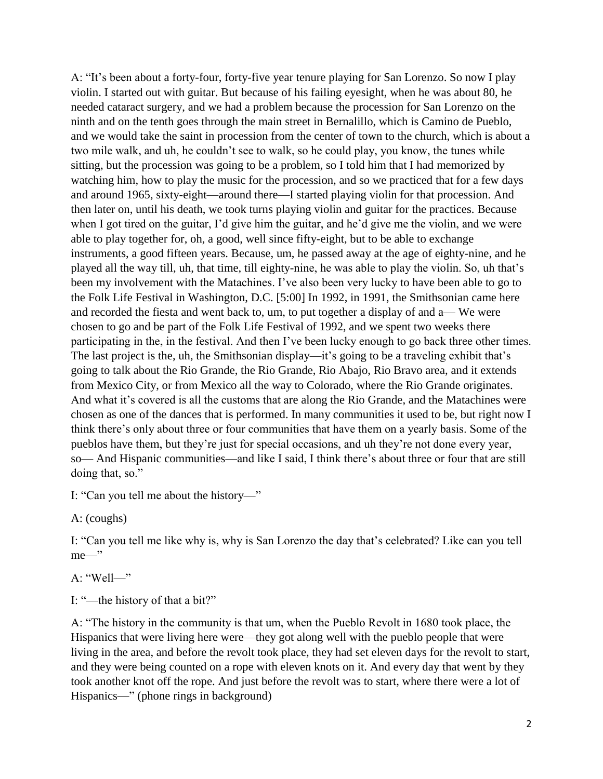A: "It's been about a forty-four, forty-five year tenure playing for San Lorenzo. So now I play violin. I started out with guitar. But because of his failing eyesight, when he was about 80, he needed cataract surgery, and we had a problem because the procession for San Lorenzo on the ninth and on the tenth goes through the main street in Bernalillo, which is Camino de Pueblo, and we would take the saint in procession from the center of town to the church, which is about a two mile walk, and uh, he couldn't see to walk, so he could play, you know, the tunes while sitting, but the procession was going to be a problem, so I told him that I had memorized by watching him, how to play the music for the procession, and so we practiced that for a few days and around 1965, sixty-eight—around there—I started playing violin for that procession. And then later on, until his death, we took turns playing violin and guitar for the practices. Because when I got tired on the guitar, I'd give him the guitar, and he'd give me the violin, and we were able to play together for, oh, a good, well since fifty-eight, but to be able to exchange instruments, a good fifteen years. Because, um, he passed away at the age of eighty-nine, and he played all the way till, uh, that time, till eighty-nine, he was able to play the violin. So, uh that's been my involvement with the Matachines. I've also been very lucky to have been able to go to the Folk Life Festival in Washington, D.C. [5:00] In 1992, in 1991, the Smithsonian came here and recorded the fiesta and went back to, um, to put together a display of and a— We were chosen to go and be part of the Folk Life Festival of 1992, and we spent two weeks there participating in the, in the festival. And then I've been lucky enough to go back three other times. The last project is the, uh, the Smithsonian display—it's going to be a traveling exhibit that's going to talk about the Rio Grande, the Rio Grande, Rio Abajo, Rio Bravo area, and it extends from Mexico City, or from Mexico all the way to Colorado, where the Rio Grande originates. And what it's covered is all the customs that are along the Rio Grande, and the Matachines were chosen as one of the dances that is performed. In many communities it used to be, but right now I think there's only about three or four communities that have them on a yearly basis. Some of the pueblos have them, but they're just for special occasions, and uh they're not done every year, so— And Hispanic communities—and like I said, I think there's about three or four that are still doing that, so."

I: "Can you tell me about the history—"

A: (coughs)

I: "Can you tell me like why is, why is San Lorenzo the day that's celebrated? Like can you tell me—"

A: "Well—"

I: "—the history of that a bit?"

A: "The history in the community is that um, when the Pueblo Revolt in 1680 took place, the Hispanics that were living here were—they got along well with the pueblo people that were living in the area, and before the revolt took place, they had set eleven days for the revolt to start, and they were being counted on a rope with eleven knots on it. And every day that went by they took another knot off the rope. And just before the revolt was to start, where there were a lot of Hispanics—" (phone rings in background)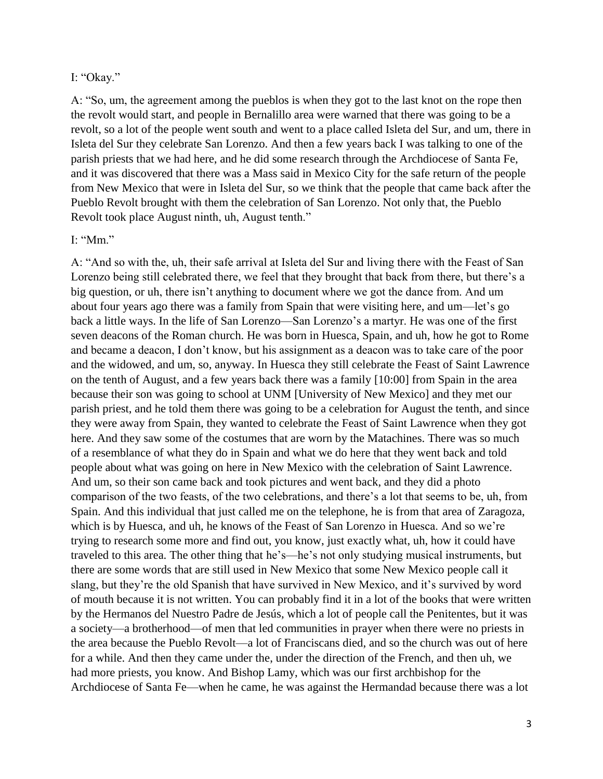#### I: "Okay."

A: "So, um, the agreement among the pueblos is when they got to the last knot on the rope then the revolt would start, and people in Bernalillo area were warned that there was going to be a revolt, so a lot of the people went south and went to a place called Isleta del Sur, and um, there in Isleta del Sur they celebrate San Lorenzo. And then a few years back I was talking to one of the parish priests that we had here, and he did some research through the Archdiocese of Santa Fe, and it was discovered that there was a Mass said in Mexico City for the safe return of the people from New Mexico that were in Isleta del Sur, so we think that the people that came back after the Pueblo Revolt brought with them the celebration of San Lorenzo. Not only that, the Pueblo Revolt took place August ninth, uh, August tenth."

### I: "Mm."

A: "And so with the, uh, their safe arrival at Isleta del Sur and living there with the Feast of San Lorenzo being still celebrated there, we feel that they brought that back from there, but there's a big question, or uh, there isn't anything to document where we got the dance from. And um about four years ago there was a family from Spain that were visiting here, and um—let's go back a little ways. In the life of San Lorenzo—San Lorenzo's a martyr. He was one of the first seven deacons of the Roman church. He was born in Huesca, Spain, and uh, how he got to Rome and became a deacon, I don't know, but his assignment as a deacon was to take care of the poor and the widowed, and um, so, anyway. In Huesca they still celebrate the Feast of Saint Lawrence on the tenth of August, and a few years back there was a family [10:00] from Spain in the area because their son was going to school at UNM [University of New Mexico] and they met our parish priest, and he told them there was going to be a celebration for August the tenth, and since they were away from Spain, they wanted to celebrate the Feast of Saint Lawrence when they got here. And they saw some of the costumes that are worn by the Matachines. There was so much of a resemblance of what they do in Spain and what we do here that they went back and told people about what was going on here in New Mexico with the celebration of Saint Lawrence. And um, so their son came back and took pictures and went back, and they did a photo comparison of the two feasts, of the two celebrations, and there's a lot that seems to be, uh, from Spain. And this individual that just called me on the telephone, he is from that area of Zaragoza, which is by Huesca, and uh, he knows of the Feast of San Lorenzo in Huesca. And so we're trying to research some more and find out, you know, just exactly what, uh, how it could have traveled to this area. The other thing that he's—he's not only studying musical instruments, but there are some words that are still used in New Mexico that some New Mexico people call it slang, but they're the old Spanish that have survived in New Mexico, and it's survived by word of mouth because it is not written. You can probably find it in a lot of the books that were written by the Hermanos del Nuestro Padre de Jesús, which a lot of people call the Penitentes, but it was a society—a brotherhood—of men that led communities in prayer when there were no priests in the area because the Pueblo Revolt—a lot of Franciscans died, and so the church was out of here for a while. And then they came under the, under the direction of the French, and then uh, we had more priests, you know. And Bishop Lamy, which was our first archbishop for the Archdiocese of Santa Fe—when he came, he was against the Hermandad because there was a lot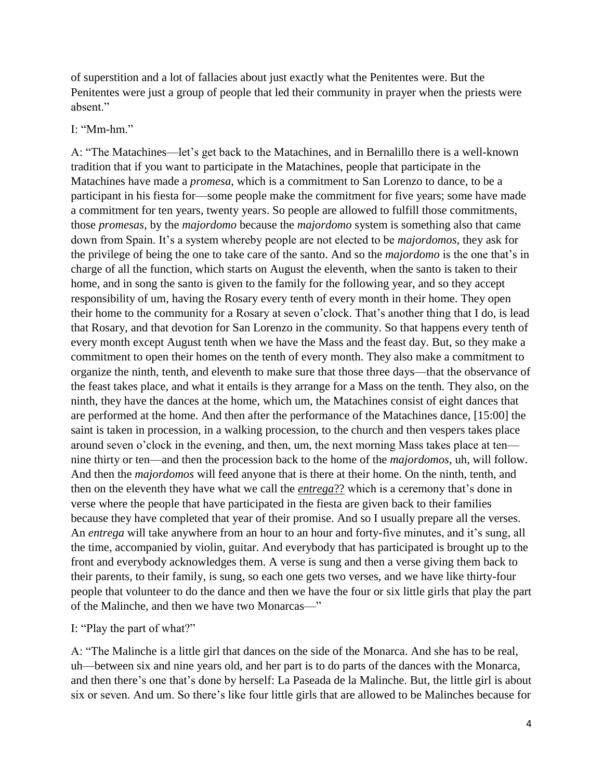of superstition and a lot of fallacies about just exactly what the Penitentes were. But the Penitentes were just a group of people that led their community in prayer when the priests were absent."

### I: "Mm-hm."

A: "The Matachines—let's get back to the Matachines, and in Bernalillo there is a well-known tradition that if you want to participate in the Matachines, people that participate in the Matachines have made a *promesa*, which is a commitment to San Lorenzo to dance, to be a participant in his fiesta for—some people make the commitment for five years; some have made a commitment for ten years, twenty years. So people are allowed to fulfill those commitments, those *promesas*, by the *majordomo* because the *majordomo* system is something also that came down from Spain. It's a system whereby people are not elected to be *majordomos*, they ask for the privilege of being the one to take care of the santo. And so the *majordomo* is the one that's in charge of all the function, which starts on August the eleventh, when the santo is taken to their home, and in song the santo is given to the family for the following year, and so they accept responsibility of um, having the Rosary every tenth of every month in their home. They open their home to the community for a Rosary at seven o'clock. That's another thing that I do, is lead that Rosary, and that devotion for San Lorenzo in the community. So that happens every tenth of every month except August tenth when we have the Mass and the feast day. But, so they make a commitment to open their homes on the tenth of every month. They also make a commitment to organize the ninth, tenth, and eleventh to make sure that those three days—that the observance of the feast takes place, and what it entails is they arrange for a Mass on the tenth. They also, on the ninth, they have the dances at the home, which um, the Matachines consist of eight dances that are performed at the home. And then after the performance of the Matachines dance, [15:00] the saint is taken in procession, in a walking procession, to the church and then vespers takes place around seven o'clock in the evening, and then, um, the next morning Mass takes place at ten nine thirty or ten—and then the procession back to the home of the *majordomos*, uh, will follow. And then the *majordomos* will feed anyone that is there at their home. On the ninth, tenth, and then on the eleventh they have what we call the *entrega*?? which is a ceremony that's done in verse where the people that have participated in the fiesta are given back to their families because they have completed that year of their promise. And so I usually prepare all the verses. An *entrega* will take anywhere from an hour to an hour and forty-five minutes, and it's sung, all the time, accompanied by violin, guitar. And everybody that has participated is brought up to the front and everybody acknowledges them. A verse is sung and then a verse giving them back to their parents, to their family, is sung, so each one gets two verses, and we have like thirty-four people that volunteer to do the dance and then we have the four or six little girls that play the part of the Malinche, and then we have two Monarcas—"

I: "Play the part of what?"

A: "The Malinche is a little girl that dances on the side of the Monarca. And she has to be real, uh—between six and nine years old, and her part is to do parts of the dances with the Monarca, and then there's one that's done by herself: La Paseada de la Malinche. But, the little girl is about six or seven. And um. So there's like four little girls that are allowed to be Malinches because for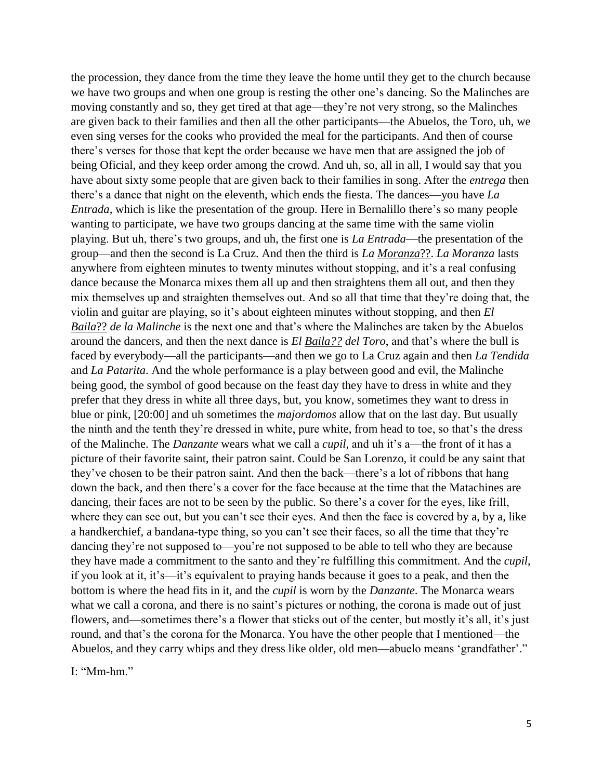the procession, they dance from the time they leave the home until they get to the church because we have two groups and when one group is resting the other one's dancing. So the Malinches are moving constantly and so, they get tired at that age—they're not very strong, so the Malinches are given back to their families and then all the other participants—the Abuelos, the Toro, uh, we even sing verses for the cooks who provided the meal for the participants. And then of course there's verses for those that kept the order because we have men that are assigned the job of being Oficial, and they keep order among the crowd. And uh, so, all in all, I would say that you have about sixty some people that are given back to their families in song. After the *entrega* then there's a dance that night on the eleventh, which ends the fiesta. The dances—you have *La Entrada*, which is like the presentation of the group. Here in Bernalillo there's so many people wanting to participate, we have two groups dancing at the same time with the same violin playing. But uh, there's two groups, and uh, the first one is *La Entrada*—the presentation of the group—and then the second is La Cruz. And then the third is *La Moranza*??. *La Moranza* lasts anywhere from eighteen minutes to twenty minutes without stopping, and it's a real confusing dance because the Monarca mixes them all up and then straightens them all out, and then they mix themselves up and straighten themselves out. And so all that time that they're doing that, the violin and guitar are playing, so it's about eighteen minutes without stopping, and then *El Baila*?? *de la Malinche* is the next one and that's where the Malinches are taken by the Abuelos around the dancers, and then the next dance is *El Baila?? del Toro*, and that's where the bull is faced by everybody—all the participants—and then we go to La Cruz again and then *La Tendida* and *La Patarita*. And the whole performance is a play between good and evil, the Malinche being good, the symbol of good because on the feast day they have to dress in white and they prefer that they dress in white all three days, but, you know, sometimes they want to dress in blue or pink, [20:00] and uh sometimes the *majordomos* allow that on the last day. But usually the ninth and the tenth they're dressed in white, pure white, from head to toe, so that's the dress of the Malinche. The *Danzante* wears what we call a *cupil*, and uh it's a—the front of it has a picture of their favorite saint, their patron saint. Could be San Lorenzo, it could be any saint that they've chosen to be their patron saint. And then the back—there's a lot of ribbons that hang down the back, and then there's a cover for the face because at the time that the Matachines are dancing, their faces are not to be seen by the public. So there's a cover for the eyes, like frill, where they can see out, but you can't see their eyes. And then the face is covered by a, by a, like a handkerchief, a bandana-type thing, so you can't see their faces, so all the time that they're dancing they're not supposed to—you're not supposed to be able to tell who they are because they have made a commitment to the santo and they're fulfilling this commitment. And the *cupil*, if you look at it, it's—it's equivalent to praying hands because it goes to a peak, and then the bottom is where the head fits in it, and the *cupil* is worn by the *Danzante*. The Monarca wears what we call a corona, and there is no saint's pictures or nothing, the corona is made out of just flowers, and—sometimes there's a flower that sticks out of the center, but mostly it's all, it's just round, and that's the corona for the Monarca. You have the other people that I mentioned—the Abuelos, and they carry whips and they dress like older, old men—abuelo means 'grandfather'."

I: "Mm-hm."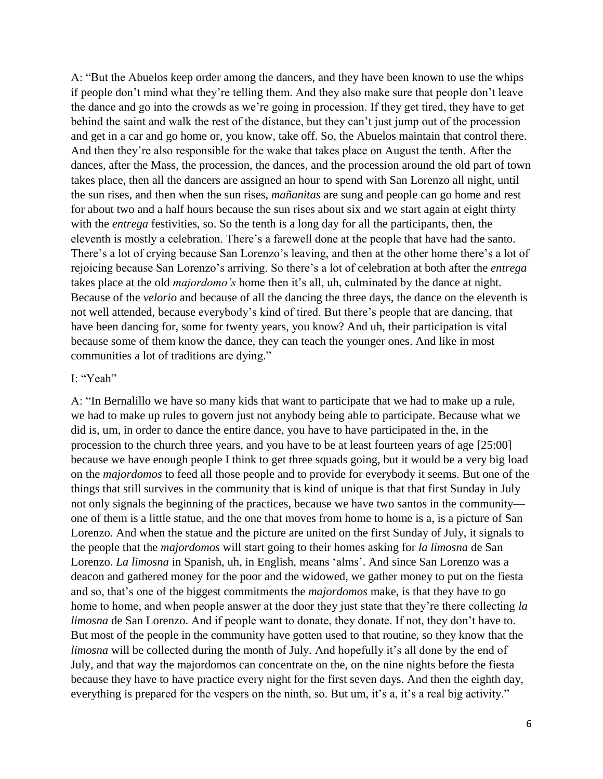A: "But the Abuelos keep order among the dancers, and they have been known to use the whips if people don't mind what they're telling them. And they also make sure that people don't leave the dance and go into the crowds as we're going in procession. If they get tired, they have to get behind the saint and walk the rest of the distance, but they can't just jump out of the procession and get in a car and go home or, you know, take off. So, the Abuelos maintain that control there. And then they're also responsible for the wake that takes place on August the tenth. After the dances, after the Mass, the procession, the dances, and the procession around the old part of town takes place, then all the dancers are assigned an hour to spend with San Lorenzo all night, until the sun rises, and then when the sun rises, *mañanitas* are sung and people can go home and rest for about two and a half hours because the sun rises about six and we start again at eight thirty with the *entrega* festivities, so. So the tenth is a long day for all the participants, then, the eleventh is mostly a celebration. There's a farewell done at the people that have had the santo. There's a lot of crying because San Lorenzo's leaving, and then at the other home there's a lot of rejoicing because San Lorenzo's arriving. So there's a lot of celebration at both after the *entrega* takes place at the old *majordomo's* home then it's all, uh, culminated by the dance at night. Because of the *velorio* and because of all the dancing the three days, the dance on the eleventh is not well attended, because everybody's kind of tired. But there's people that are dancing, that have been dancing for, some for twenty years, you know? And uh, their participation is vital because some of them know the dance, they can teach the younger ones. And like in most communities a lot of traditions are dying."

## I: "Yeah"

A: "In Bernalillo we have so many kids that want to participate that we had to make up a rule, we had to make up rules to govern just not anybody being able to participate. Because what we did is, um, in order to dance the entire dance, you have to have participated in the, in the procession to the church three years, and you have to be at least fourteen years of age [25:00] because we have enough people I think to get three squads going, but it would be a very big load on the *majordomos* to feed all those people and to provide for everybody it seems. But one of the things that still survives in the community that is kind of unique is that that first Sunday in July not only signals the beginning of the practices, because we have two santos in the community one of them is a little statue, and the one that moves from home to home is a, is a picture of San Lorenzo. And when the statue and the picture are united on the first Sunday of July, it signals to the people that the *majordomos* will start going to their homes asking for *la limosna* de San Lorenzo. *La limosna* in Spanish, uh, in English, means 'alms'. And since San Lorenzo was a deacon and gathered money for the poor and the widowed, we gather money to put on the fiesta and so, that's one of the biggest commitments the *majordomos* make, is that they have to go home to home, and when people answer at the door they just state that they're there collecting *la limosna* de San Lorenzo. And if people want to donate, they donate. If not, they don't have to. But most of the people in the community have gotten used to that routine, so they know that the *limosna* will be collected during the month of July. And hopefully it's all done by the end of July, and that way the majordomos can concentrate on the, on the nine nights before the fiesta because they have to have practice every night for the first seven days. And then the eighth day, everything is prepared for the vespers on the ninth, so. But um, it's a, it's a real big activity."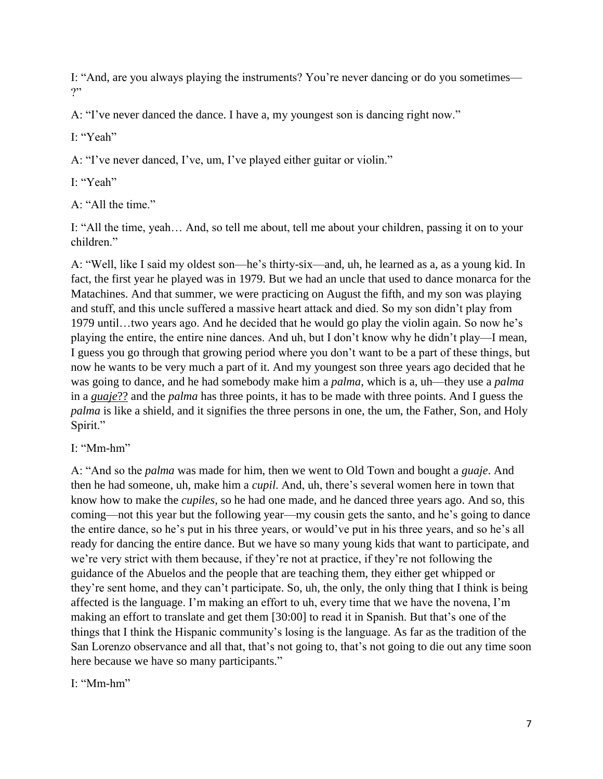I: "And, are you always playing the instruments? You're never dancing or do you sometimes— ?"

A: "I've never danced the dance. I have a, my youngest son is dancing right now."

I<sup>.</sup> "Yeah"

A: "I've never danced, I've, um, I've played either guitar or violin."

I: "Yeah"

A: "All the time."

I: "All the time, yeah… And, so tell me about, tell me about your children, passing it on to your children<sup>"</sup>

A: "Well, like I said my oldest son—he's thirty-six—and, uh, he learned as a, as a young kid. In fact, the first year he played was in 1979. But we had an uncle that used to dance monarca for the Matachines. And that summer, we were practicing on August the fifth, and my son was playing and stuff, and this uncle suffered a massive heart attack and died. So my son didn't play from 1979 until…two years ago. And he decided that he would go play the violin again. So now he's playing the entire, the entire nine dances. And uh, but I don't know why he didn't play—I mean, I guess you go through that growing period where you don't want to be a part of these things, but now he wants to be very much a part of it. And my youngest son three years ago decided that he was going to dance, and he had somebody make him a *palma*, which is a, uh—they use a *palma* in a *guaje*?? and the *palma* has three points, it has to be made with three points. And I guess the *palma* is like a shield, and it signifies the three persons in one, the um, the Father, Son, and Holy Spirit."

I: "Mm-hm"

A: "And so the *palma* was made for him, then we went to Old Town and bought a *guaje*. And then he had someone, uh, make him a *cupil*. And, uh, there's several women here in town that know how to make the *cupiles*, so he had one made, and he danced three years ago. And so, this coming—not this year but the following year—my cousin gets the santo, and he's going to dance the entire dance, so he's put in his three years, or would've put in his three years, and so he's all ready for dancing the entire dance. But we have so many young kids that want to participate, and we're very strict with them because, if they're not at practice, if they're not following the guidance of the Abuelos and the people that are teaching them, they either get whipped or they're sent home, and they can't participate. So, uh, the only, the only thing that I think is being affected is the language. I'm making an effort to uh, every time that we have the novena, I'm making an effort to translate and get them [30:00] to read it in Spanish. But that's one of the things that I think the Hispanic community's losing is the language. As far as the tradition of the San Lorenzo observance and all that, that's not going to, that's not going to die out any time soon here because we have so many participants."

I: "Mm-hm"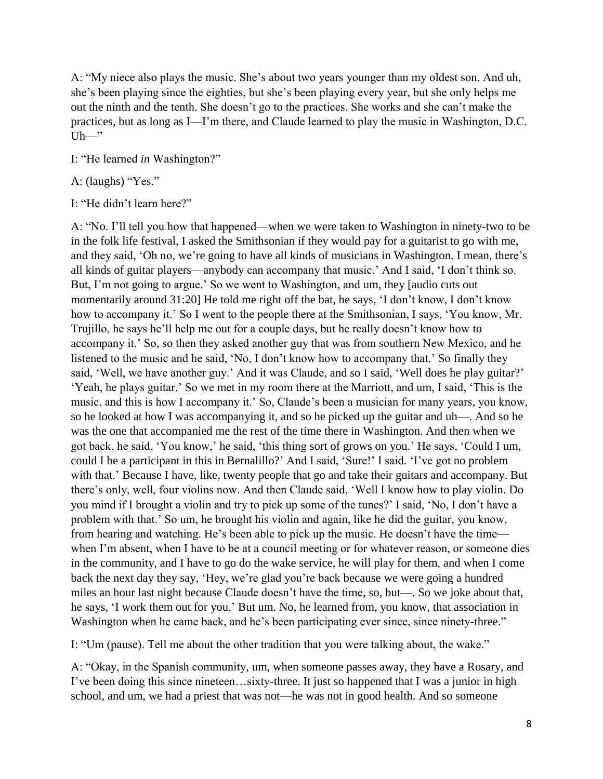A: "My niece also plays the music. She's about two years younger than my oldest son. And uh, she's been playing since the eighties, but she's been playing every year, but she only helps me out the ninth and the tenth. She doesn't go to the practices. She works and she can't make the practices, but as long as I—I'm there, and Claude learned to play the music in Washington, D.C.  $Uh—"$ 

I: "He learned *in* Washington?"

A: (laughs) "Yes."

I: "He didn't learn here?"

A: "No. I'll tell you how that happened—when we were taken to Washington in ninety-two to be in the folk life festival, I asked the Smithsonian if they would pay for a guitarist to go with me, and they said, 'Oh no, we're going to have all kinds of musicians in Washington. I mean, there's all kinds of guitar players—anybody can accompany that music.' And I said, 'I don't think so. But, I'm not going to argue.' So we went to Washington, and um, they [audio cuts out momentarily around 31:20] He told me right off the bat, he says, 'I don't know, I don't know how to accompany it.' So I went to the people there at the Smithsonian, I says, 'You know, Mr. Trujillo, he says he'll help me out for a couple days, but he really doesn't know how to accompany it.' So, so then they asked another guy that was from southern New Mexico, and he listened to the music and he said, 'No, I don't know how to accompany that.' So finally they said, 'Well, we have another guy.' And it was Claude, and so I said, 'Well does he play guitar?' 'Yeah, he plays guitar.' So we met in my room there at the Marriott, and um, I said, 'This is the music, and this is how I accompany it.' So, Claude's been a musician for many years, you know, so he looked at how I was accompanying it, and so he picked up the guitar and uh—. And so he was the one that accompanied me the rest of the time there in Washington. And then when we got back, he said, 'You know,' he said, 'this thing sort of grows on you.' He says, 'Could I um, could I be a participant in this in Bernalillo?' And I said, 'Sure!' I said. 'I've got no problem with that.' Because I have, like, twenty people that go and take their guitars and accompany. But there's only, well, four violins now. And then Claude said, 'Well I know how to play violin. Do you mind if I brought a violin and try to pick up some of the tunes?' I said, 'No, I don't have a problem with that.' So um, he brought his violin and again, like he did the guitar, you know, from hearing and watching. He's been able to pick up the music. He doesn't have the time when I'm absent, when I have to be at a council meeting or for whatever reason, or someone dies in the community, and I have to go do the wake service, he will play for them, and when I come back the next day they say, 'Hey, we're glad you're back because we were going a hundred miles an hour last night because Claude doesn't have the time, so, but—. So we joke about that, he says, 'I work them out for you.' But um. No, he learned from, you know, that association in Washington when he came back, and he's been participating ever since, since ninety-three."

I: "Um (pause). Tell me about the other tradition that you were talking about, the wake."

A: "Okay, in the Spanish community, um, when someone passes away, they have a Rosary, and I've been doing this since nineteen…sixty-three. It just so happened that I was a junior in high school, and um, we had a priest that was not—he was not in good health. And so someone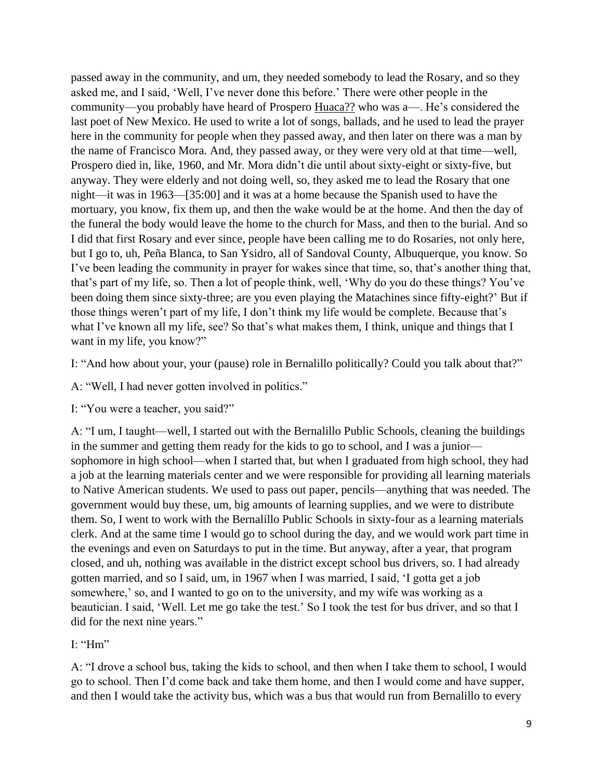passed away in the community, and um, they needed somebody to lead the Rosary, and so they asked me, and I said, 'Well, I've never done this before.' There were other people in the community—you probably have heard of Prospero Huaca?? who was a—. He's considered the last poet of New Mexico. He used to write a lot of songs, ballads, and he used to lead the prayer here in the community for people when they passed away, and then later on there was a man by the name of Francisco Mora. And, they passed away, or they were very old at that time—well, Prospero died in, like, 1960, and Mr. Mora didn't die until about sixty-eight or sixty-five, but anyway. They were elderly and not doing well, so, they asked me to lead the Rosary that one night—it was in 1963—[35:00] and it was at a home because the Spanish used to have the mortuary, you know, fix them up, and then the wake would be at the home. And then the day of the funeral the body would leave the home to the church for Mass, and then to the burial. And so I did that first Rosary and ever since, people have been calling me to do Rosaries, not only here, but I go to, uh, Peña Blanca, to San Ysidro, all of Sandoval County, Albuquerque, you know. So I've been leading the community in prayer for wakes since that time, so, that's another thing that, that's part of my life, so. Then a lot of people think, well, 'Why do you do these things? You've been doing them since sixty-three; are you even playing the Matachines since fifty-eight?' But if those things weren't part of my life, I don't think my life would be complete. Because that's what I've known all my life, see? So that's what makes them, I think, unique and things that I want in my life, you know?"

I: "And how about your, your (pause) role in Bernalillo politically? Could you talk about that?"

A: "Well, I had never gotten involved in politics."

I: "You were a teacher, you said?"

A: "I um, I taught—well, I started out with the Bernalillo Public Schools, cleaning the buildings in the summer and getting them ready for the kids to go to school, and I was a junior sophomore in high school—when I started that, but when I graduated from high school, they had a job at the learning materials center and we were responsible for providing all learning materials to Native American students. We used to pass out paper, pencils—anything that was needed. The government would buy these, um, big amounts of learning supplies, and we were to distribute them. So, I went to work with the Bernalillo Public Schools in sixty-four as a learning materials clerk. And at the same time I would go to school during the day, and we would work part time in the evenings and even on Saturdays to put in the time. But anyway, after a year, that program closed, and uh, nothing was available in the district except school bus drivers, so. I had already gotten married, and so I said, um, in 1967 when I was married, I said, 'I gotta get a job somewhere,' so, and I wanted to go on to the university, and my wife was working as a beautician. I said, 'Well. Let me go take the test.' So I took the test for bus driver, and so that I did for the next nine years."

I: "Hm"

A: "I drove a school bus, taking the kids to school, and then when I take them to school, I would go to school. Then I'd come back and take them home, and then I would come and have supper, and then I would take the activity bus, which was a bus that would run from Bernalillo to every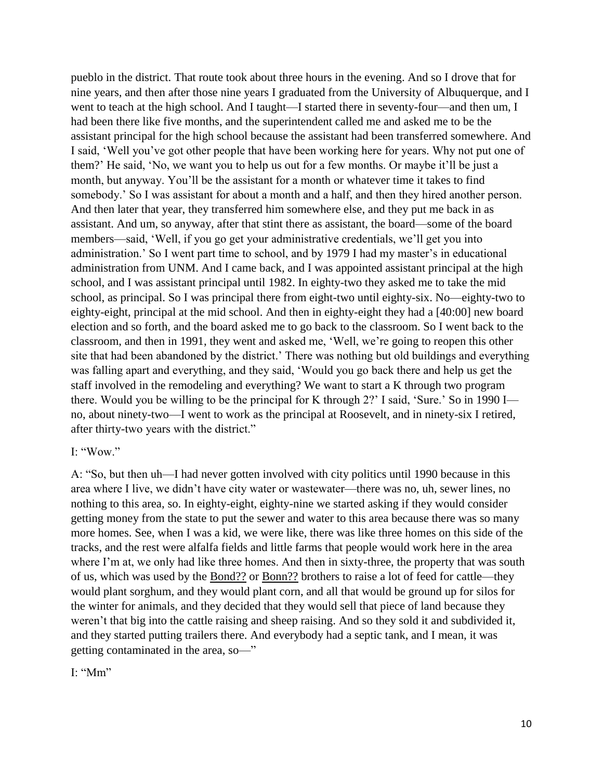pueblo in the district. That route took about three hours in the evening. And so I drove that for nine years, and then after those nine years I graduated from the University of Albuquerque, and I went to teach at the high school. And I taught—I started there in seventy-four—and then um, I had been there like five months, and the superintendent called me and asked me to be the assistant principal for the high school because the assistant had been transferred somewhere. And I said, 'Well you've got other people that have been working here for years. Why not put one of them?' He said, 'No, we want you to help us out for a few months. Or maybe it'll be just a month, but anyway. You'll be the assistant for a month or whatever time it takes to find somebody.' So I was assistant for about a month and a half, and then they hired another person. And then later that year, they transferred him somewhere else, and they put me back in as assistant. And um, so anyway, after that stint there as assistant, the board—some of the board members—said, 'Well, if you go get your administrative credentials, we'll get you into administration.' So I went part time to school, and by 1979 I had my master's in educational administration from UNM. And I came back, and I was appointed assistant principal at the high school, and I was assistant principal until 1982. In eighty-two they asked me to take the mid school, as principal. So I was principal there from eight-two until eighty-six. No—eighty-two to eighty-eight, principal at the mid school. And then in eighty-eight they had a [40:00] new board election and so forth, and the board asked me to go back to the classroom. So I went back to the classroom, and then in 1991, they went and asked me, 'Well, we're going to reopen this other site that had been abandoned by the district.' There was nothing but old buildings and everything was falling apart and everything, and they said, 'Would you go back there and help us get the staff involved in the remodeling and everything? We want to start a K through two program there. Would you be willing to be the principal for K through 2?' I said, 'Sure.' So in 1990 I no, about ninety-two—I went to work as the principal at Roosevelt, and in ninety-six I retired, after thirty-two years with the district."

### I: "Wow."

A: "So, but then uh—I had never gotten involved with city politics until 1990 because in this area where I live, we didn't have city water or wastewater—there was no, uh, sewer lines, no nothing to this area, so. In eighty-eight, eighty-nine we started asking if they would consider getting money from the state to put the sewer and water to this area because there was so many more homes. See, when I was a kid, we were like, there was like three homes on this side of the tracks, and the rest were alfalfa fields and little farms that people would work here in the area where I'm at, we only had like three homes. And then in sixty-three, the property that was south of us, which was used by the Bond?? or Bonn?? brothers to raise a lot of feed for cattle—they would plant sorghum, and they would plant corn, and all that would be ground up for silos for the winter for animals, and they decided that they would sell that piece of land because they weren't that big into the cattle raising and sheep raising. And so they sold it and subdivided it, and they started putting trailers there. And everybody had a septic tank, and I mean, it was getting contaminated in the area, so—"

I<sup>.</sup> "Mm"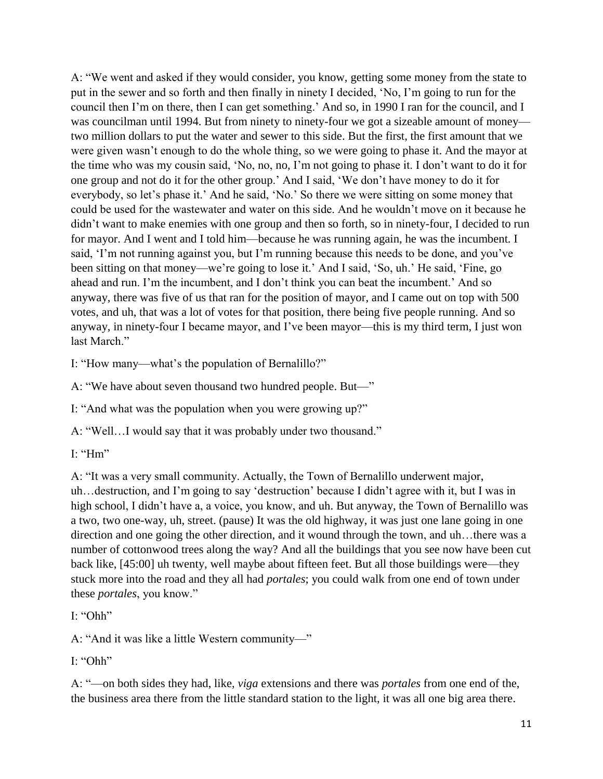A: "We went and asked if they would consider, you know, getting some money from the state to put in the sewer and so forth and then finally in ninety I decided, 'No, I'm going to run for the council then I'm on there, then I can get something.' And so, in 1990 I ran for the council, and I was councilman until 1994. But from ninety to ninety-four we got a sizeable amount of money two million dollars to put the water and sewer to this side. But the first, the first amount that we were given wasn't enough to do the whole thing, so we were going to phase it. And the mayor at the time who was my cousin said, 'No, no, no, I'm not going to phase it. I don't want to do it for one group and not do it for the other group.' And I said, 'We don't have money to do it for everybody, so let's phase it.' And he said, 'No.' So there we were sitting on some money that could be used for the wastewater and water on this side. And he wouldn't move on it because he didn't want to make enemies with one group and then so forth, so in ninety-four, I decided to run for mayor. And I went and I told him—because he was running again, he was the incumbent. I said, 'I'm not running against you, but I'm running because this needs to be done, and you've been sitting on that money—we're going to lose it.' And I said, 'So, uh.' He said, 'Fine, go ahead and run. I'm the incumbent, and I don't think you can beat the incumbent.' And so anyway, there was five of us that ran for the position of mayor, and I came out on top with 500 votes, and uh, that was a lot of votes for that position, there being five people running. And so anyway, in ninety-four I became mayor, and I've been mayor—this is my third term, I just won last March."

I: "How many—what's the population of Bernalillo?"

A: "We have about seven thousand two hundred people. But—"

I: "And what was the population when you were growing up?"

A: "Well…I would say that it was probably under two thousand."

I: " $Hm$ "

A: "It was a very small community. Actually, the Town of Bernalillo underwent major, uh…destruction, and I'm going to say 'destruction' because I didn't agree with it, but I was in high school, I didn't have a, a voice, you know, and uh. But anyway, the Town of Bernalillo was a two, two one-way, uh, street. (pause) It was the old highway, it was just one lane going in one direction and one going the other direction, and it wound through the town, and uh…there was a number of cottonwood trees along the way? And all the buildings that you see now have been cut back like, [45:00] uh twenty, well maybe about fifteen feet. But all those buildings were—they stuck more into the road and they all had *portales*; you could walk from one end of town under these *portales*, you know."

I: "Ohh"

A: "And it was like a little Western community—"

I: "Ohh"

A: "—on both sides they had, like, *viga* extensions and there was *portales* from one end of the, the business area there from the little standard station to the light, it was all one big area there.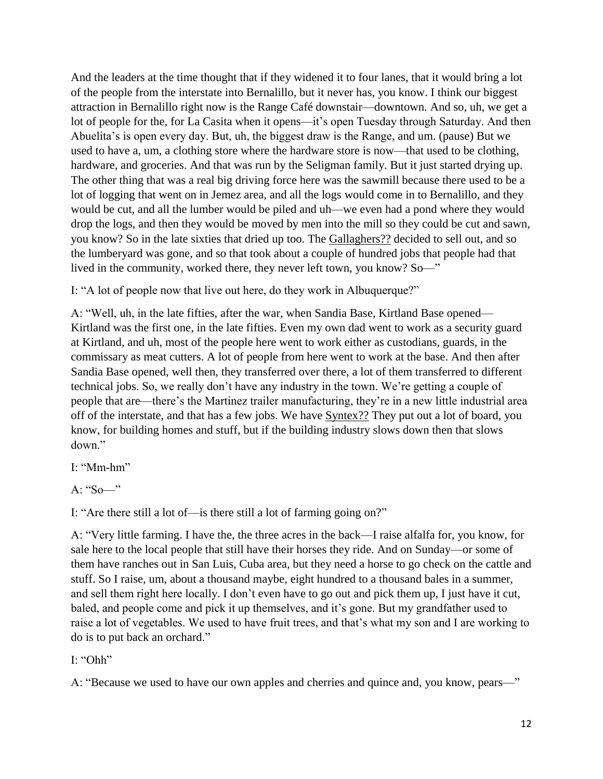And the leaders at the time thought that if they widened it to four lanes, that it would bring a lot of the people from the interstate into Bernalillo, but it never has, you know. I think our biggest attraction in Bernalillo right now is the Range Café downstair—downtown. And so, uh, we get a lot of people for the, for La Casita when it opens—it's open Tuesday through Saturday. And then Abuelita's is open every day. But, uh, the biggest draw is the Range, and um. (pause) But we used to have a, um, a clothing store where the hardware store is now—that used to be clothing, hardware, and groceries. And that was run by the Seligman family. But it just started drying up. The other thing that was a real big driving force here was the sawmill because there used to be a lot of logging that went on in Jemez area, and all the logs would come in to Bernalillo, and they would be cut, and all the lumber would be piled and uh—we even had a pond where they would drop the logs, and then they would be moved by men into the mill so they could be cut and sawn, you know? So in the late sixties that dried up too. The Gallaghers?? decided to sell out, and so the lumberyard was gone, and so that took about a couple of hundred jobs that people had that lived in the community, worked there, they never left town, you know? So—"

I: "A lot of people now that live out here, do they work in Albuquerque?"

A: "Well, uh, in the late fifties, after the war, when Sandia Base, Kirtland Base opened— Kirtland was the first one, in the late fifties. Even my own dad went to work as a security guard at Kirtland, and uh, most of the people here went to work either as custodians, guards, in the commissary as meat cutters. A lot of people from here went to work at the base. And then after Sandia Base opened, well then, they transferred over there, a lot of them transferred to different technical jobs. So, we really don't have any industry in the town. We're getting a couple of people that are—there's the Martinez trailer manufacturing, they're in a new little industrial area off of the interstate, and that has a few jobs. We have Syntex?? They put out a lot of board, you know, for building homes and stuff, but if the building industry slows down then that slows down."

I: "Mm-hm"

A: "So—"

I: "Are there still a lot of—is there still a lot of farming going on?"

A: "Very little farming. I have the, the three acres in the back—I raise alfalfa for, you know, for sale here to the local people that still have their horses they ride. And on Sunday—or some of them have ranches out in San Luis, Cuba area, but they need a horse to go check on the cattle and stuff. So I raise, um, about a thousand maybe, eight hundred to a thousand bales in a summer, and sell them right here locally. I don't even have to go out and pick them up, I just have it cut, baled, and people come and pick it up themselves, and it's gone. But my grandfather used to raise a lot of vegetables. We used to have fruit trees, and that's what my son and I are working to do is to put back an orchard."

I: "Ohh"

A: "Because we used to have our own apples and cherries and quince and, you know, pears—"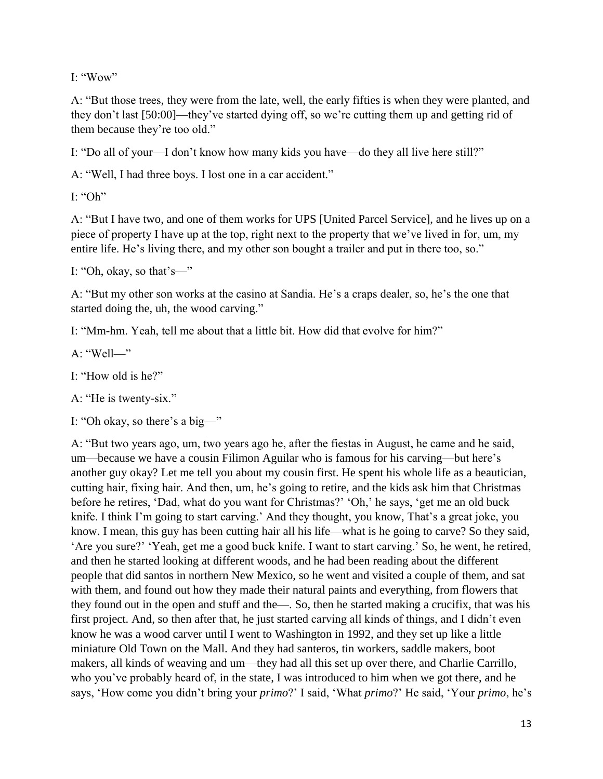I: "Wow"

A: "But those trees, they were from the late, well, the early fifties is when they were planted, and they don't last [50:00]—they've started dying off, so we're cutting them up and getting rid of them because they're too old."

I: "Do all of your—I don't know how many kids you have—do they all live here still?"

A: "Well, I had three boys. I lost one in a car accident."

 $I:$  "Oh"

A: "But I have two, and one of them works for UPS [United Parcel Service], and he lives up on a piece of property I have up at the top, right next to the property that we've lived in for, um, my entire life. He's living there, and my other son bought a trailer and put in there too, so."

I: "Oh, okay, so that's—"

A: "But my other son works at the casino at Sandia. He's a craps dealer, so, he's the one that started doing the, uh, the wood carving."

I: "Mm-hm. Yeah, tell me about that a little bit. How did that evolve for him?"

 $A \cdot$ "Well—"

I: "How old is he?"

A: "He is twenty-six."

I: "Oh okay, so there's a big—"

A: "But two years ago, um, two years ago he, after the fiestas in August, he came and he said, um—because we have a cousin Filimon Aguilar who is famous for his carving—but here's another guy okay? Let me tell you about my cousin first. He spent his whole life as a beautician, cutting hair, fixing hair. And then, um, he's going to retire, and the kids ask him that Christmas before he retires, 'Dad, what do you want for Christmas?' 'Oh,' he says, 'get me an old buck knife. I think I'm going to start carving.' And they thought, you know, That's a great joke, you know. I mean, this guy has been cutting hair all his life—what is he going to carve? So they said, 'Are you sure?' 'Yeah, get me a good buck knife. I want to start carving.' So, he went, he retired, and then he started looking at different woods, and he had been reading about the different people that did santos in northern New Mexico, so he went and visited a couple of them, and sat with them, and found out how they made their natural paints and everything, from flowers that they found out in the open and stuff and the—. So, then he started making a crucifix, that was his first project. And, so then after that, he just started carving all kinds of things, and I didn't even know he was a wood carver until I went to Washington in 1992, and they set up like a little miniature Old Town on the Mall. And they had santeros, tin workers, saddle makers, boot makers, all kinds of weaving and um—they had all this set up over there, and Charlie Carrillo, who you've probably heard of, in the state, I was introduced to him when we got there, and he says, 'How come you didn't bring your *primo*?' I said, 'What *primo*?' He said, 'Your *primo*, he's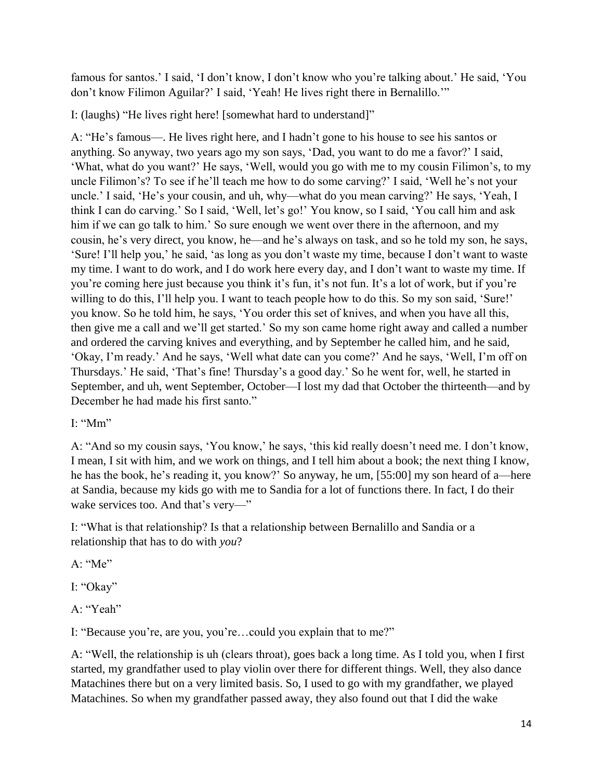famous for santos.' I said, 'I don't know, I don't know who you're talking about.' He said, 'You don't know Filimon Aguilar?' I said, 'Yeah! He lives right there in Bernalillo.'"

I: (laughs) "He lives right here! [somewhat hard to understand]"

A: "He's famous—. He lives right here, and I hadn't gone to his house to see his santos or anything. So anyway, two years ago my son says, 'Dad, you want to do me a favor?' I said, 'What, what do you want?' He says, 'Well, would you go with me to my cousin Filimon's, to my uncle Filimon's? To see if he'll teach me how to do some carving?' I said, 'Well he's not your uncle.' I said, 'He's your cousin, and uh, why—what do you mean carving?' He says, 'Yeah, I think I can do carving.' So I said, 'Well, let's go!' You know, so I said, 'You call him and ask him if we can go talk to him.' So sure enough we went over there in the afternoon, and my cousin, he's very direct, you know, he—and he's always on task, and so he told my son, he says, 'Sure! I'll help you,' he said, 'as long as you don't waste my time, because I don't want to waste my time. I want to do work, and I do work here every day, and I don't want to waste my time. If you're coming here just because you think it's fun, it's not fun. It's a lot of work, but if you're willing to do this, I'll help you. I want to teach people how to do this. So my son said, 'Sure!' you know. So he told him, he says, 'You order this set of knives, and when you have all this, then give me a call and we'll get started.' So my son came home right away and called a number and ordered the carving knives and everything, and by September he called him, and he said, 'Okay, I'm ready.' And he says, 'Well what date can you come?' And he says, 'Well, I'm off on Thursdays.' He said, 'That's fine! Thursday's a good day.' So he went for, well, he started in September, and uh, went September, October—I lost my dad that October the thirteenth—and by December he had made his first santo."

## I: "Mm"

A: "And so my cousin says, 'You know,' he says, 'this kid really doesn't need me. I don't know, I mean, I sit with him, and we work on things, and I tell him about a book; the next thing I know, he has the book, he's reading it, you know?' So anyway, he um, [55:00] my son heard of a—here at Sandia, because my kids go with me to Sandia for a lot of functions there. In fact, I do their wake services too. And that's very—"

I: "What is that relationship? Is that a relationship between Bernalillo and Sandia or a relationship that has to do with *you*?

A: "Me"

I: "Okay"

A: "Yeah"

I: "Because you're, are you, you're…could you explain that to me?"

A: "Well, the relationship is uh (clears throat), goes back a long time. As I told you, when I first started, my grandfather used to play violin over there for different things. Well, they also dance Matachines there but on a very limited basis. So, I used to go with my grandfather, we played Matachines. So when my grandfather passed away, they also found out that I did the wake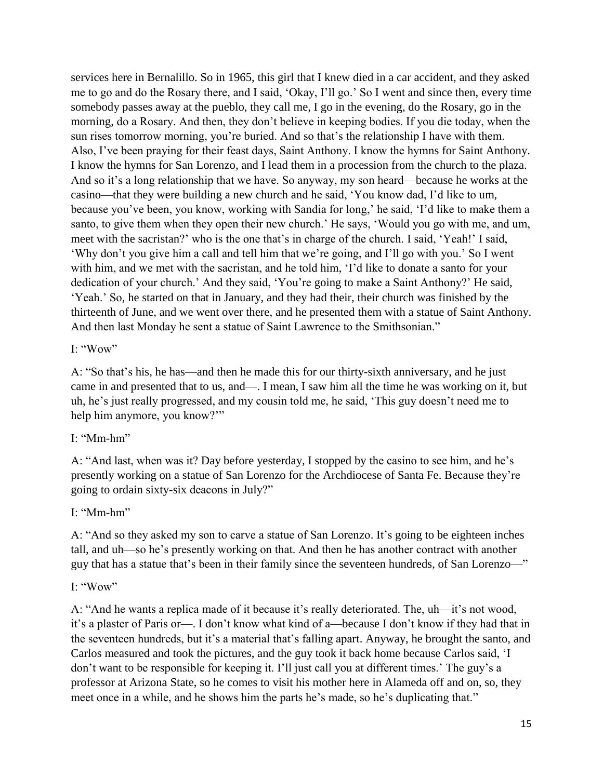services here in Bernalillo. So in 1965, this girl that I knew died in a car accident, and they asked me to go and do the Rosary there, and I said, 'Okay, I'll go.' So I went and since then, every time somebody passes away at the pueblo, they call me, I go in the evening, do the Rosary, go in the morning, do a Rosary. And then, they don't believe in keeping bodies. If you die today, when the sun rises tomorrow morning, you're buried. And so that's the relationship I have with them. Also, I've been praying for their feast days, Saint Anthony. I know the hymns for Saint Anthony. I know the hymns for San Lorenzo, and I lead them in a procession from the church to the plaza. And so it's a long relationship that we have. So anyway, my son heard—because he works at the casino—that they were building a new church and he said, 'You know dad, I'd like to um, because you've been, you know, working with Sandia for long,' he said, 'I'd like to make them a santo, to give them when they open their new church.' He says, 'Would you go with me, and um, meet with the sacristan?' who is the one that's in charge of the church. I said, 'Yeah!' I said, 'Why don't you give him a call and tell him that we're going, and I'll go with you.' So I went with him, and we met with the sacristan, and he told him, 'I'd like to donate a santo for your dedication of your church.' And they said, 'You're going to make a Saint Anthony?' He said, 'Yeah.' So, he started on that in January, and they had their, their church was finished by the thirteenth of June, and we went over there, and he presented them with a statue of Saint Anthony. And then last Monday he sent a statue of Saint Lawrence to the Smithsonian."

 $I^{\cdot}$  "Wow"

A: "So that's his, he has—and then he made this for our thirty-sixth anniversary, and he just came in and presented that to us, and—. I mean, I saw him all the time he was working on it, but uh, he's just really progressed, and my cousin told me, he said, 'This guy doesn't need me to help him anymore, you know?'"

## I: "Mm-hm"

A: "And last, when was it? Day before yesterday, I stopped by the casino to see him, and he's presently working on a statue of San Lorenzo for the Archdiocese of Santa Fe. Because they're going to ordain sixty-six deacons in July?"

I: "Mm-hm"

A: "And so they asked my son to carve a statue of San Lorenzo. It's going to be eighteen inches tall, and uh—so he's presently working on that. And then he has another contract with another guy that has a statue that's been in their family since the seventeen hundreds, of San Lorenzo—"

# I: "Wow"

A: "And he wants a replica made of it because it's really deteriorated. The, uh—it's not wood, it's a plaster of Paris or—. I don't know what kind of a—because I don't know if they had that in the seventeen hundreds, but it's a material that's falling apart. Anyway, he brought the santo, and Carlos measured and took the pictures, and the guy took it back home because Carlos said, 'I don't want to be responsible for keeping it. I'll just call you at different times.' The guy's a professor at Arizona State, so he comes to visit his mother here in Alameda off and on, so, they meet once in a while, and he shows him the parts he's made, so he's duplicating that."